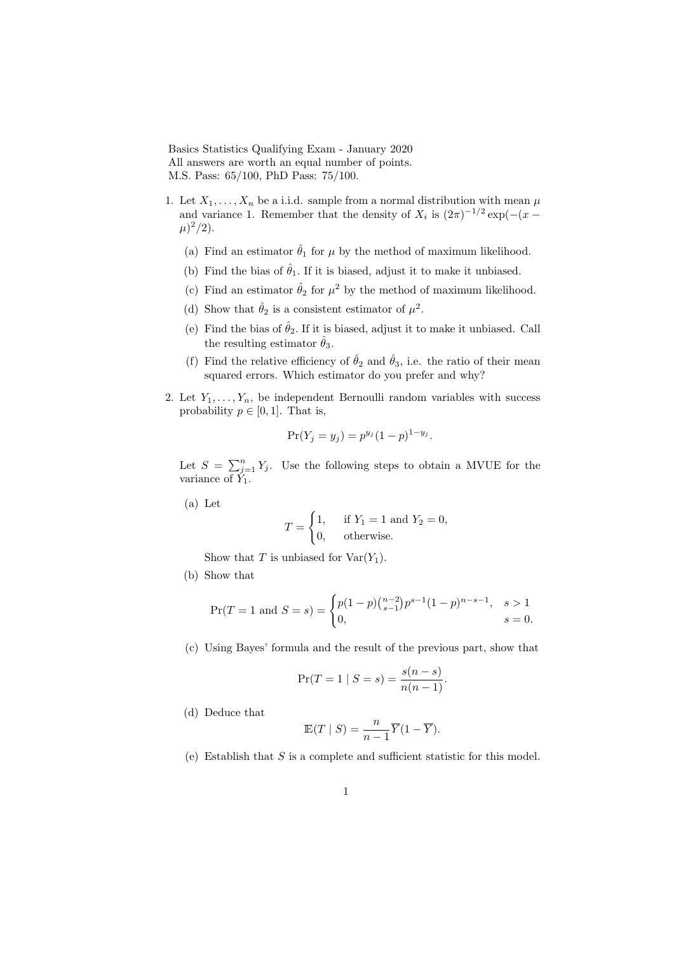Basics Statistics Qualifying Exam - January 2020 All answers are worth an equal number of points. M.S. Pass: 65/100, PhD Pass: 75/100.

- 1. Let  $X_1, \ldots, X_n$  be a i.i.d. sample from a normal distribution with mean  $\mu$ and variance 1. Remember that the density of  $X_i$  is  $(2\pi)^{-1/2} \exp(-(x-\pi)^{-1/2})$  $(\mu)^2/2$ ).
	- (a) Find an estimator  $\hat{\theta}_1$  for  $\mu$  by the method of maximum likelihood.
	- (b) Find the bias of  $\hat{\theta}_1$ . If it is biased, adjust it to make it unbiased.
	- (c) Find an estimator  $\hat{\theta}_2$  for  $\mu^2$  by the method of maximum likelihood.
	- (d) Show that  $\hat{\theta}_2$  is a consistent estimator of  $\mu^2$ .
	- (e) Find the bias of  $\hat{\theta}_2$ . If it is biased, adjust it to make it unbiased. Call the resulting estimator  $\hat{\theta}_3$ .
	- (f) Find the relative efficiency of  $\hat{\theta}_2$  and  $\hat{\theta}_3$ , i.e. the ratio of their mean squared errors. Which estimator do you prefer and why?
- 2. Let  $Y_1, \ldots, Y_n$ , be independent Bernoulli random variables with success probability  $p \in [0, 1]$ . That is,

$$
Pr(Y_j = y_j) = p^{y_j} (1 - p)^{1 - y_j}.
$$

Let  $S = \sum_{j=1}^{n} Y_j$ . Use the following steps to obtain a MVUE for the variance of  $\tilde{Y}_1$ .

(a) Let

$$
T = \begin{cases} 1, & \text{if } Y_1 = 1 \text{ and } Y_2 = 0, \\ 0, & \text{otherwise.} \end{cases}
$$

Show that T is unbiased for  $Var(Y_1)$ .

(b) Show that

$$
\Pr(T=1 \text{ and } S=s) = \begin{cases} p(1-p)\binom{n-2}{s-1}p^{s-1}(1-p)^{n-s-1}, & s > 1\\ 0, & s = 0. \end{cases}
$$

(c) Using Bayes' formula and the result of the previous part, show that

$$
\Pr(T = 1 | S = s) = \frac{s(n - s)}{n(n - 1)}.
$$

(d) Deduce that

$$
\mathbb{E}(T \mid S) = \frac{n}{n-1} \overline{Y}(1 - \overline{Y}).
$$

(e) Establish that  $S$  is a complete and sufficient statistic for this model.